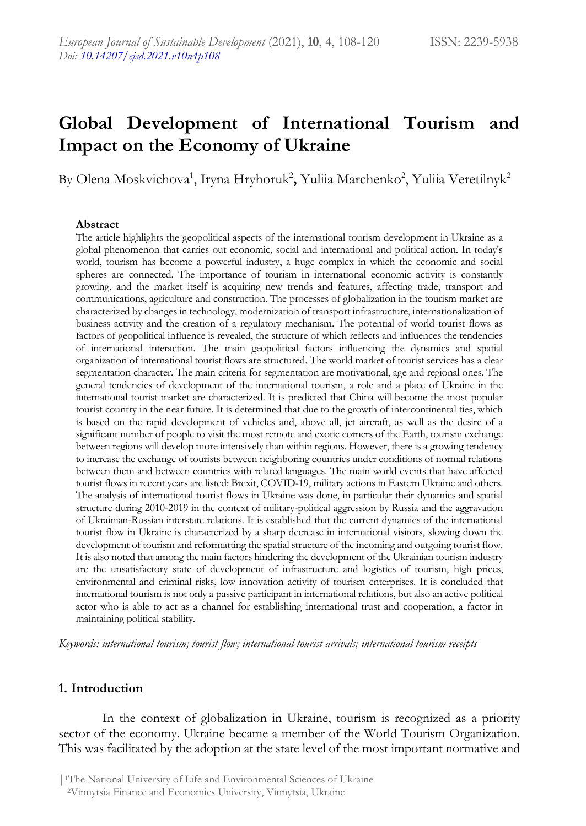# **Global Development of International Tourism and Impact on the Economy of Ukraine**

By Olena Moskvichova<sup>1</sup>, Iryna Hryhoruk<sup>2</sup>, Yuliia Marchenko<sup>2</sup>, Yuliia Veretilnyk<sup>2</sup>

#### **Abstract**

The article highlights the geopolitical aspects of the international tourism development in Ukraine as a global phenomenon that carries out economic, social and international and political action. In today's world, tourism has become a powerful industry, a huge complex in which the economic and social spheres are connected. The importance of tourism in international economic activity is constantly growing, and the market itself is acquiring new trends and features, affecting trade, transport and communications, agriculture and construction. The processes of globalization in the tourism market are characterized by changes in technology, modernization of transport infrastructure, internationalization of business activity and the creation of a regulatory mechanism. The potential of world tourist flows as factors of geopolitical influence is revealed, the structure of which reflects and influences the tendencies of international interaction. The main geopolitical factors influencing the dynamics and spatial organization of international tourist flows are structured. The world market of tourist services has a clear segmentation character. The main criteria for segmentation are motivational, age and regional ones. The general tendencies of development of the international tourism, a role and a place of Ukraine in the international tourist market are characterized. It is predicted that China will become the most popular tourist country in the near future. It is determined that due to the growth of intercontinental ties, which is based on the rapid development of vehicles and, above all, jet aircraft, as well as the desire of a significant number of people to visit the most remote and exotic corners of the Earth, tourism exchange between regions will develop more intensively than within regions. However, there is a growing tendency to increase the exchange of tourists between neighboring countries under conditions of normal relations between them and between countries with related languages. The main world events that have affected tourist flows in recent years are listed: Brexit, COVID-19, military actions in Eastern Ukraine and others. The analysis of international tourist flows in Ukraine was done, in particular their dynamics and spatial structure during 2010-2019 in the context of military-political aggression by Russia and the aggravation of Ukrainian-Russian interstate relations. It is established that the current dynamics of the international tourist flow in Ukraine is characterized by a sharp decrease in international visitors, slowing down the development of tourism and reformatting the spatial structure of the incoming and outgoing tourist flow. It is also noted that among the main factors hindering the development of the Ukrainian tourism industry are the unsatisfactory state of development of infrastructure and logistics of tourism, high prices, environmental and criminal risks, low innovation activity of tourism enterprises. It is concluded that international tourism is not only a passive participant in international relations, but also an active political actor who is able to act as a channel for establishing international trust and cooperation, a factor in maintaining political stability.

*Keywords: international tourism; tourist flow; international tourist arrivals; international tourism receipts*

#### **1. Introduction**

In the context of globalization in Ukraine, tourism is recognized as a priority sector of the economy. Ukraine became a member of the World Tourism Organization. This was facilitated by the adoption at the state level of the most important normative and

<sup>2</sup>Vinnytsia Finance and Economics University, Vinnytsia, Ukraine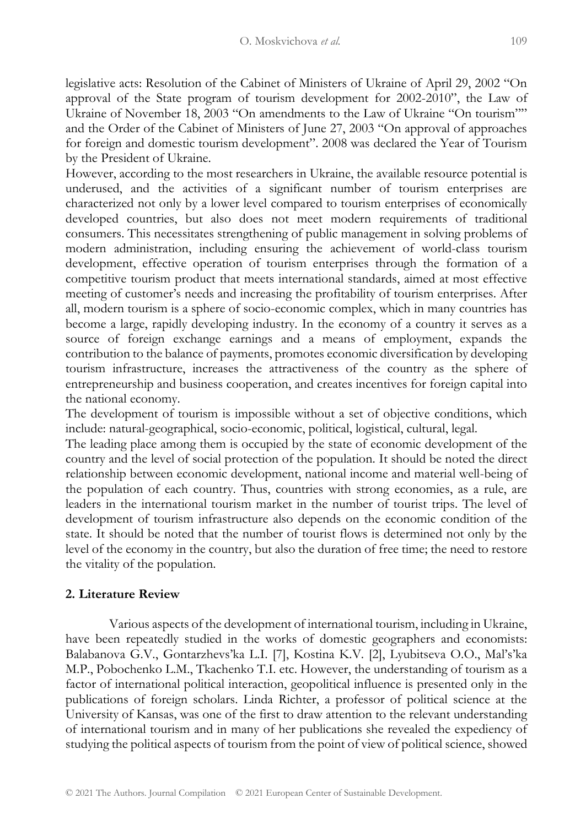legislative acts: Resolution of the Cabinet of Ministers of Ukraine of April 29, 2002 "On approval of the State program of tourism development for 2002-2010", the Law of Ukraine of November 18, 2003 "On amendments to the Law of Ukraine "On tourism"" and the Order of the Cabinet of Ministers of June 27, 2003 "On approval of approaches for foreign and domestic tourism development". 2008 was declared the Year of Tourism by the President of Ukraine.

However, according to the most researchers in Ukraine, the available resource potential is underused, and the activities of a significant number of tourism enterprises are characterized not only by a lower level compared to tourism enterprises of economically developed countries, but also does not meet modern requirements of traditional consumers. This necessitates strengthening of public management in solving problems of modern administration, including ensuring the achievement of world-class tourism development, effective operation of tourism enterprises through the formation of a competitive tourism product that meets international standards, aimed at most effective meeting of customer's needs and increasing the profitability of tourism enterprises. After all, modern tourism is a sphere of socio-economic complex, which in many countries has become a large, rapidly developing industry. In the economy of a country it serves as a source of foreign exchange earnings and a means of employment, expands the contribution to the balance of payments, promotes economic diversification by developing tourism infrastructure, increases the attractiveness of the country as the sphere of entrepreneurship and business cooperation, and creates incentives for foreign capital into the national economy.

The development of tourism is impossible without a set of objective conditions, which include: natural-geographical, socio-economic, political, logistical, cultural, legal.

The leading place among them is occupied by the state of economic development of the country and the level of social protection of the population. It should be noted the direct relationship between economic development, national income and material well-being of the population of each country. Thus, countries with strong economies, as a rule, are leaders in the international tourism market in the number of tourist trips. The level of development of tourism infrastructure also depends on the economic condition of the state. It should be noted that the number of tourist flows is determined not only by the level of the economy in the country, but also the duration of free time; the need to restore the vitality of the population.

#### **2. Literature Review**

Various aspects of the development of international tourism, including in Ukraine, have been repeatedly studied in the works of domestic geographers and economists: Balabanova G.V., Gontarzhevs'ka L.I. [7], Kostina K.V. [2], Lyubitseva O.O., Mal's'ka M.P., Pobochenko L.M., Tkachenko T.I. etc. However, the understanding of tourism as a factor of international political interaction, geopolitical influence is presented only in the publications of foreign scholars. Linda Richter, a professor of political science at the University of Kansas, was one of the first to draw attention to the relevant understanding of international tourism and in many of her publications she revealed the expediency of studying the political aspects of tourism from the point of view of political science, showed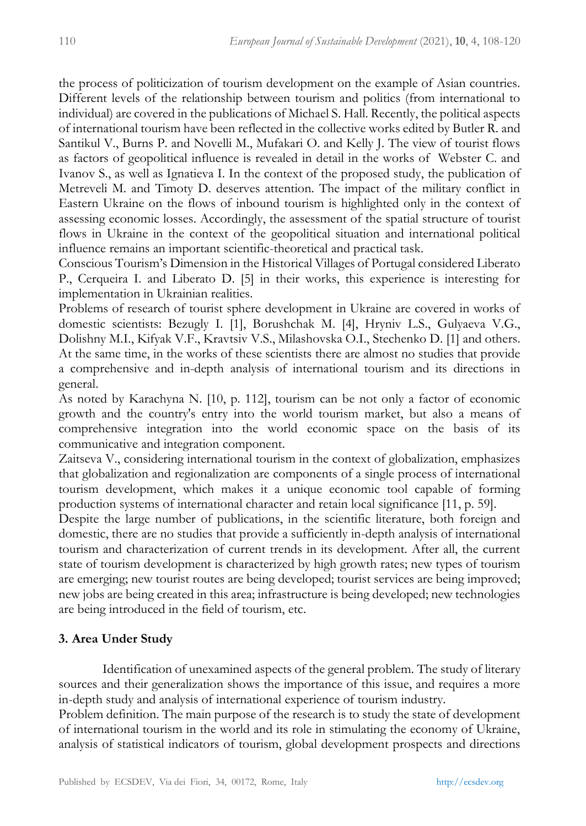the process of politicization of tourism development on the example of Asian countries. Different levels of the relationship between tourism and politics (from international to individual) are covered in the publications of Michael S. Hall. Recently, the political aspects of international tourism have been reflected in the collective works edited by Butler R. and Santikul V., Burns P. and Novelli M., Mufakari O. and Kelly J. The view of tourist flows as factors of geopolitical influence is revealed in detail in the works of Webster C. and Ivanov S., as well as Ignatieva I. In the context of the proposed study, the publication of Metreveli M. and Timoty D. deserves attention. The impact of the military conflict in Eastern Ukraine on the flows of inbound tourism is highlighted only in the context of assessing economic losses. Accordingly, the assessment of the spatial structure of tourist flows in Ukraine in the context of the geopolitical situation and international political influence remains an important scientific-theoretical and practical task.

Conscious Tourism's Dimension in the Historical Villages of Portugal considered Liberato P., Cerqueira I. and Liberato D. [5] in their works, this experience is interesting for implementation in Ukrainian realities.

Problems of research of tourist sphere development in Ukraine are covered in works of domestic scientists: Bezugly I. [1], Borushchak M. [4], Hryniv L.S., Gulyaeva V.G., Dolishny M.I., Kifyak V.F., Kravtsiv V.S., Milashovska O.I., Stechenko D. [1] and others. At the same time, in the works of these scientists there are almost no studies that provide a comprehensive and in-depth analysis of international tourism and its directions in general.

As noted by Karachyna N. [10, p. 112], tourism can be not only a factor of economic growth and the country's entry into the world tourism market, but also a means of comprehensive integration into the world economic space on the basis of its communicative and integration component.

Zaitseva V., considering international tourism in the context of globalization, emphasizes that globalization and regionalization are components of a single process of international tourism development, which makes it a unique economic tool capable of forming production systems of international character and retain local significance [11, p. 59].

Despite the large number of publications, in the scientific literature, both foreign and domestic, there are no studies that provide a sufficiently in-depth analysis of international tourism and characterization of current trends in its development. After all, the current state of tourism development is characterized by high growth rates; new types of tourism are emerging; new tourist routes are being developed; tourist services are being improved; new jobs are being created in this area; infrastructure is being developed; new technologies are being introduced in the field of tourism, etc.

## **3. Area Under Study**

Identification of unexamined aspects of the general problem. The study of literary sources and their generalization shows the importance of this issue, and requires a more in-depth study and analysis of international experience of tourism industry.

Problem definition. The main purpose of the research is to study the state of development of international tourism in the world and its role in stimulating the economy of Ukraine, analysis of statistical indicators of tourism, global development prospects and directions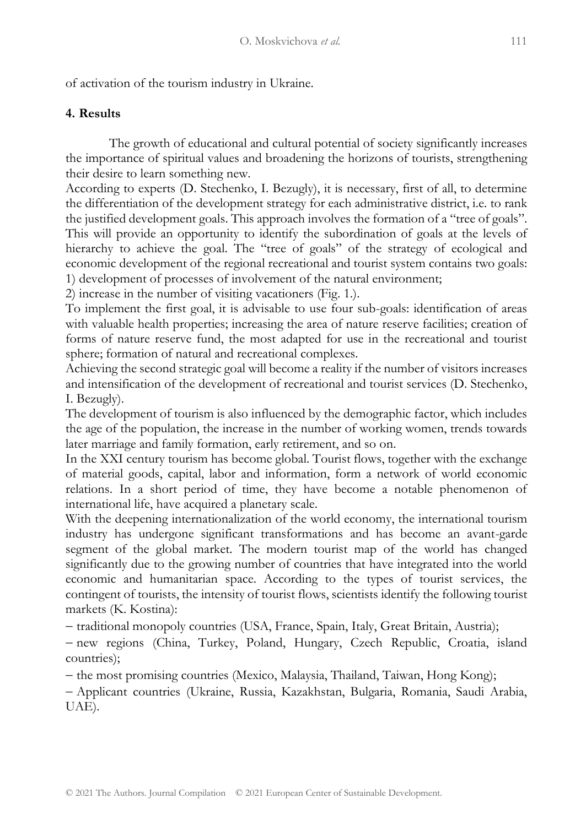of activation of the tourism industry in Ukraine.

## **4. Results**

The growth of educational and cultural potential of society significantly increases the importance of spiritual values and broadening the horizons of tourists, strengthening their desire to learn something new.

According to experts (D. Stechenko, I. Bezugly), it is necessary, first of all, to determine the differentiation of the development strategy for each administrative district, i.e. to rank the justified development goals. This approach involves the formation of a "tree of goals". This will provide an opportunity to identify the subordination of goals at the levels of hierarchy to achieve the goal. The "tree of goals" of the strategy of ecological and economic development of the regional recreational and tourist system contains two goals: 1) development of processes of involvement of the natural environment;

2) increase in the number of visiting vacationers (Fig. 1.).

To implement the first goal, it is advisable to use four sub-goals: identification of areas with valuable health properties; increasing the area of nature reserve facilities; creation of forms of nature reserve fund, the most adapted for use in the recreational and tourist sphere; formation of natural and recreational complexes.

Achieving the second strategic goal will become a reality if the number of visitors increases and intensification of the development of recreational and tourist services (D. Stechenko, I. Bezugly).

The development of tourism is also influenced by the demographic factor, which includes the age of the population, the increase in the number of working women, trends towards later marriage and family formation, early retirement, and so on.

In the XXI century tourism has become global. Tourist flows, together with the exchange of material goods, capital, labor and information, form a network of world economic relations. In a short period of time, they have become a notable phenomenon of international life, have acquired a planetary scale.

With the deepening internationalization of the world economy, the international tourism industry has undergone significant transformations and has become an avant-garde segment of the global market. The modern tourist map of the world has changed significantly due to the growing number of countries that have integrated into the world economic and humanitarian space. According to the types of tourist services, the contingent of tourists, the intensity of tourist flows, scientists identify the following tourist markets (K. Kostina):

− traditional monopoly countries (USA, France, Spain, Italy, Great Britain, Austria);

− new regions (China, Turkey, Poland, Hungary, Czech Republic, Croatia, island countries);

− the most promising countries (Mexico, Malaysia, Thailand, Taiwan, Hong Kong);

− Applicant countries (Ukraine, Russia, Kazakhstan, Bulgaria, Romania, Saudi Arabia, UAE).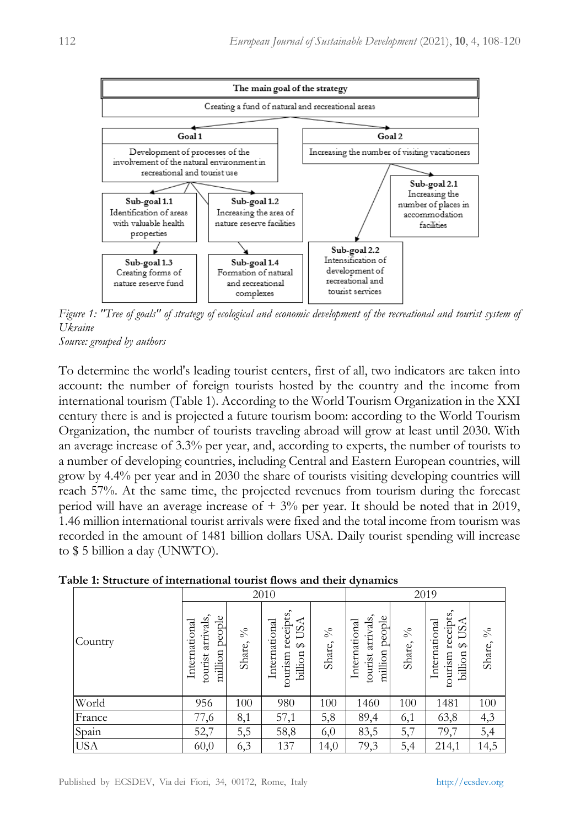

*Figure 1: "Tree of goals" of strategy of ecological and economic development of the recreational and tourist system of Ukraine*

*Source: grouped by authors*

To determine the world's leading tourist centers, first of all, two indicators are taken into account: the number of foreign tourists hosted by the country and the income from international tourism (Table 1). According to the World Tourism Organization in the XXI century there is and is projected a future tourism boom: according to the World Tourism Organization, the number of tourists traveling abroad will grow at least until 2030. With an average increase of 3.3% per year, and, according to experts, the number of tourists to a number of developing countries, including Central and Eastern European countries, will grow by 4.4% per year and in 2030 the share of tourists visiting developing countries will reach 57%. At the same time, the projected revenues from tourism during the forecast period will have an average increase of  $+3\%$  per year. It should be noted that in 2019, 1.46 million international tourist arrivals were fixed and the total income from tourism was recorded in the amount of 1481 billion dollars USA. Daily tourist spending will increase to \$ 5 billion a day (UNWTO).

|            |                                                         |                            | 2010                                                                |          | 2019                                                 |                |                                                                      |          |
|------------|---------------------------------------------------------|----------------------------|---------------------------------------------------------------------|----------|------------------------------------------------------|----------------|----------------------------------------------------------------------|----------|
| Country    | arrivals,<br>million people<br>International<br>tourist | $\delta_{\rm O}$<br>Share, | receipts,<br><b>USA</b><br>International<br>↮<br>tourism<br>billion | Share, % | tourist arrivals,<br>million people<br>International | $\%$<br>Share, | receipts,<br>USA<br>International<br>$\varphi$<br>tourism<br>billion | Share, % |
| World      | 956                                                     | 100                        | 980                                                                 | 100      | 1460                                                 | 100            | 1481                                                                 | 100      |
| France     | 77,6                                                    | 8,1                        | 57,1                                                                | 5,8      | 89,4                                                 | 6,1            | 63,8                                                                 | 4,3      |
| Spain      | 52,7                                                    | 5,5                        | 58,8                                                                | 6,0      | 83,5                                                 | 5,7            | 79,7                                                                 | 5,4      |
| <b>USA</b> | 60,0                                                    | 6,3                        | 137                                                                 | 14,0     | 79,3                                                 | 5,4            | 214,1                                                                | 14,5     |

#### **Table 1: Structure of international tourist flows and their dynamics**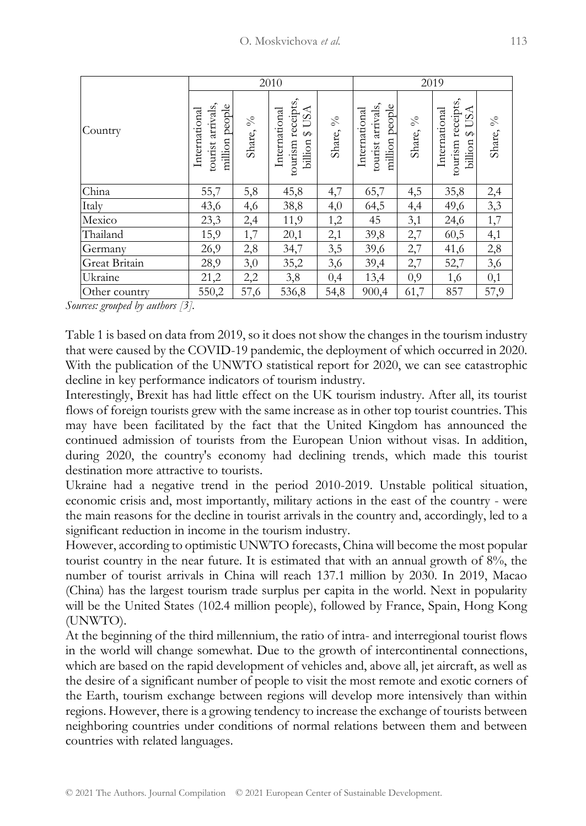|               |                                                       |                            | 2010                                                                  |          | 2019                                                    |                             |                                                         |          |
|---------------|-------------------------------------------------------|----------------------------|-----------------------------------------------------------------------|----------|---------------------------------------------------------|-----------------------------|---------------------------------------------------------|----------|
| Country       | milion people<br>arrivals<br>International<br>tourist | $\delta_{\rm Q}$<br>Share, | tourism receipts<br>USA<br>International<br>⊶<br>billion <sup>3</sup> | Share, % | tourist arrivals,<br>people<br>International<br>million | $\delta_{\rm V0}$<br>Share, | tourism receipts<br>$A$ USA<br>International<br>billion | Share, % |
| China         | 55,7                                                  | 5,8                        | 45,8                                                                  | 4,7      | 65,7                                                    | 4,5                         | 35,8                                                    | 2,4      |
| Italy         | 43,6                                                  | 4,6                        | 38,8                                                                  | 4,0      | 64,5                                                    | 4,4                         | 49,6                                                    | 3,3      |
| Mexico        | 23,3                                                  | 2,4                        | 11,9                                                                  | 1,2      | 45                                                      | 3,1                         | 24,6                                                    | 1,7      |
| Thailand      | 15,9                                                  | 1,7                        | 20,1                                                                  | 2,1      | 39,8                                                    | 2,7                         | 60,5                                                    | 4,1      |
| Germany       | 26,9                                                  | 2,8                        | 34,7                                                                  | 3,5      | 39,6                                                    | 2,7                         | 41,6                                                    | 2,8      |
| Great Britain | 28,9                                                  | 3,0                        | 35,2                                                                  | 3,6      | 39,4                                                    | 2,7                         | 52,7                                                    | 3,6      |
| Ukraine       | 21,2                                                  | 2,2                        | 3,8                                                                   | 0,4      | 13,4                                                    | 0,9                         | 1,6                                                     | 0,1      |
| Other country | 550,2                                                 | 57,6                       | 536,8                                                                 | 54,8     | 900,4                                                   | 61,7                        | 857                                                     | 57,9     |

*Sources: grouped by authors [3].*

Table 1 is based on data from 2019, so it does not show the changes in the tourism industry that were caused by the COVID-19 pandemic, the deployment of which occurred in 2020. With the publication of the UNWTO statistical report for 2020, we can see catastrophic decline in key performance indicators of tourism industry.

Interestingly, Brexit has had little effect on the UK tourism industry. After all, its tourist flows of foreign tourists grew with the same increase as in other top tourist countries. This may have been facilitated by the fact that the United Kingdom has announced the continued admission of tourists from the European Union without visas. In addition, during 2020, the country's economy had declining trends, which made this tourist destination more attractive to tourists.

Ukraine had a negative trend in the period 2010-2019. Unstable political situation, economic crisis and, most importantly, military actions in the east of the country - were the main reasons for the decline in tourist arrivals in the country and, accordingly, led to a significant reduction in income in the tourism industry.

However, according to optimistic UNWTO forecasts, China will become the most popular tourist country in the near future. It is estimated that with an annual growth of 8%, the number of tourist arrivals in China will reach 137.1 million by 2030. In 2019, Macao (China) has the largest tourism trade surplus per capita in the world. Next in popularity will be the United States (102.4 million people), followed by France, Spain, Hong Kong (UNWTO).

At the beginning of the third millennium, the ratio of intra- and interregional tourist flows in the world will change somewhat. Due to the growth of intercontinental connections, which are based on the rapid development of vehicles and, above all, jet aircraft, as well as the desire of a significant number of people to visit the most remote and exotic corners of the Earth, tourism exchange between regions will develop more intensively than within regions. However, there is a growing tendency to increase the exchange of tourists between neighboring countries under conditions of normal relations between them and between countries with related languages.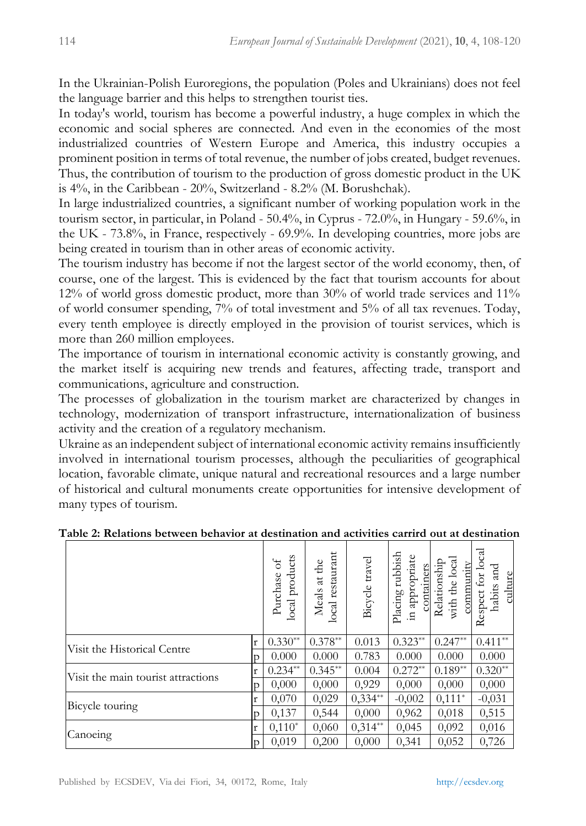In the Ukrainian-Polish Euroregions, the population (Poles and Ukrainians) does not feel the language barrier and this helps to strengthen tourist ties.

In today's world, tourism has become a powerful industry, a huge complex in which the economic and social spheres are connected. And even in the economies of the most industrialized countries of Western Europe and America, this industry occupies a prominent position in terms of total revenue, the number of jobs created, budget revenues. Thus, the contribution of tourism to the production of gross domestic product in the UK is 4%, in the Caribbean - 20%, Switzerland - 8.2% (M. Borushchak).

In large industrialized countries, a significant number of working population work in the tourism sector, in particular, in Poland - 50.4%, in Cyprus - 72.0%, in Hungary - 59.6%, in the UK - 73.8%, in France, respectively - 69.9%. In developing countries, more jobs are being created in tourism than in other areas of economic activity.

The tourism industry has become if not the largest sector of the world economy, then, of course, one of the largest. This is evidenced by the fact that tourism accounts for about 12% of world gross domestic product, more than 30% of world trade services and 11% of world consumer spending, 7% of total investment and 5% of all tax revenues. Today, every tenth employee is directly employed in the provision of tourist services, which is more than 260 million employees.

The importance of tourism in international economic activity is constantly growing, and the market itself is acquiring new trends and features, affecting trade, transport and communications, agriculture and construction.

The processes of globalization in the tourism market are characterized by changes in technology, modernization of transport infrastructure, internationalization of business activity and the creation of a regulatory mechanism.

Ukraine as an independent subject of international economic activity remains insufficiently involved in international tourism processes, although the peculiarities of geographical location, favorable climate, unique natural and recreational resources and a large number of historical and cultural monuments create opportunities for intensive development of many types of tourism.

|                                    |   | products<br>ď<br>Purchase<br>local | restaurant<br>Meals at the<br>local | Bicycle travel | rubbish<br>appropriate<br>containers<br>Placing<br>묘. | with the local<br>Relationship<br>community | हु<br>nd<br>and<br>Ē<br>culture<br>habits<br>Respect |
|------------------------------------|---|------------------------------------|-------------------------------------|----------------|-------------------------------------------------------|---------------------------------------------|------------------------------------------------------|
| Visit the Historical Centre        | r | $0.330**$                          | $0.378**$                           | 0.013          | $0.323**$                                             | $0.247**$                                   | $0.411**$                                            |
|                                    | D | 0.000                              | 0.000                               | 0.783          | 0.000                                                 | 0.000                                       | 0.000                                                |
| Visit the main tourist attractions | r | $0.234**$                          | $0.345**$                           | 0.004          | $0.272**$                                             | $0.189**$                                   | $0.320**$                                            |
|                                    |   | 0,000                              | 0,000                               | 0,929          | 0,000                                                 | 0,000                                       | 0,000                                                |
|                                    | r | 0,070                              | 0,029                               | $0.334**$      | $-0,002$                                              | $0.111*$                                    | $-0,031$                                             |
| Bicycle touring                    |   | 0,137                              | 0,544                               | 0,000          | 0,962                                                 | 0,018                                       | 0,515                                                |
|                                    |   | $0,110*$                           | 0,060                               | $0,314**$      | 0,045                                                 | 0,092                                       | 0,016                                                |
| Canoeing                           | p | 0,019                              | 0.200                               | 0,000          | 0.341                                                 | 0,052                                       | 0,726                                                |

### **Table 2: Relations between behavior at destination and activities carrird out at destination**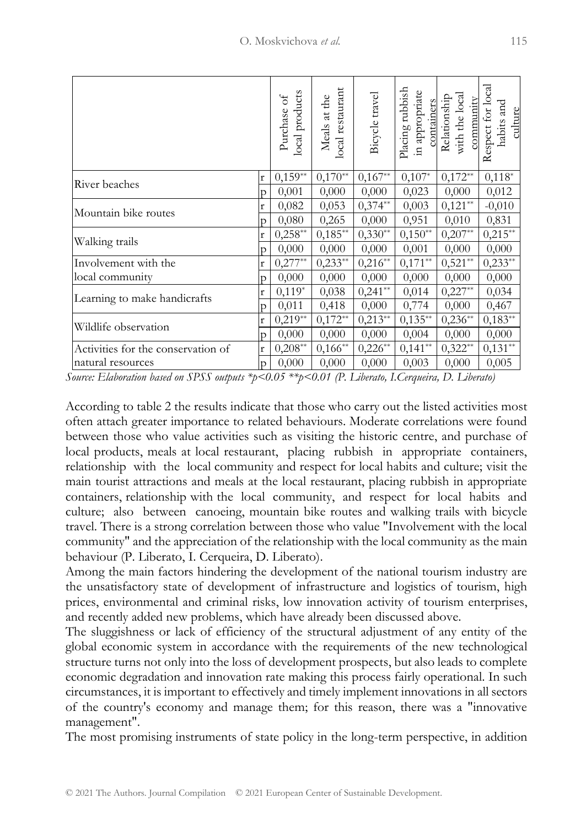|                                                                                                                                                                                                                                                                                                                                                                                                                                                                                                                                                                                                                                                                                                                                                                                                                                                                                                                                                                                                                                                                                                                                                                                                                                                                                                                                                                                                                                                                                                                                                                                                                                                                    |                | local products<br>Purchase of | local restaurant<br>Meals at the | Bicycle travel | Placing rubbish<br>in appropriate | <b>Containers</b><br>Relationship<br>with the local<br>community | Respect for local<br>habits and<br>culture |
|--------------------------------------------------------------------------------------------------------------------------------------------------------------------------------------------------------------------------------------------------------------------------------------------------------------------------------------------------------------------------------------------------------------------------------------------------------------------------------------------------------------------------------------------------------------------------------------------------------------------------------------------------------------------------------------------------------------------------------------------------------------------------------------------------------------------------------------------------------------------------------------------------------------------------------------------------------------------------------------------------------------------------------------------------------------------------------------------------------------------------------------------------------------------------------------------------------------------------------------------------------------------------------------------------------------------------------------------------------------------------------------------------------------------------------------------------------------------------------------------------------------------------------------------------------------------------------------------------------------------------------------------------------------------|----------------|-------------------------------|----------------------------------|----------------|-----------------------------------|------------------------------------------------------------------|--------------------------------------------|
| River beaches                                                                                                                                                                                                                                                                                                                                                                                                                                                                                                                                                                                                                                                                                                                                                                                                                                                                                                                                                                                                                                                                                                                                                                                                                                                                                                                                                                                                                                                                                                                                                                                                                                                      | r              | $0,159**$                     | $0,170**$                        | $0,167**$      | $0,107*$                          | $0,172**$                                                        | $0,118*$                                   |
| Mountain bike routes                                                                                                                                                                                                                                                                                                                                                                                                                                                                                                                                                                                                                                                                                                                                                                                                                                                                                                                                                                                                                                                                                                                                                                                                                                                                                                                                                                                                                                                                                                                                                                                                                                               | p              | 0,001                         | 0,000                            | 0,000          | 0,023                             | 0,000                                                            | 0,012                                      |
|                                                                                                                                                                                                                                                                                                                                                                                                                                                                                                                                                                                                                                                                                                                                                                                                                                                                                                                                                                                                                                                                                                                                                                                                                                                                                                                                                                                                                                                                                                                                                                                                                                                                    | r              | 0,082                         | 0,053                            | $0,374**$      | 0,003                             | $0,121**$                                                        | $-0,010$                                   |
|                                                                                                                                                                                                                                                                                                                                                                                                                                                                                                                                                                                                                                                                                                                                                                                                                                                                                                                                                                                                                                                                                                                                                                                                                                                                                                                                                                                                                                                                                                                                                                                                                                                                    | p              | 0,080                         | 0,265                            | 0,000          | 0,951                             | 0,010                                                            | 0,831                                      |
| Walking trails                                                                                                                                                                                                                                                                                                                                                                                                                                                                                                                                                                                                                                                                                                                                                                                                                                                                                                                                                                                                                                                                                                                                                                                                                                                                                                                                                                                                                                                                                                                                                                                                                                                     | $\mathbf r$    | $0,258$ **                    | $0,185**$                        | $0,330**$      | $0,150**$                         | $0,207**$                                                        | $0,215**$                                  |
|                                                                                                                                                                                                                                                                                                                                                                                                                                                                                                                                                                                                                                                                                                                                                                                                                                                                                                                                                                                                                                                                                                                                                                                                                                                                                                                                                                                                                                                                                                                                                                                                                                                                    | p              | 0,000                         | 0,000                            | 0,000          | 0,001                             | 0,000                                                            | 0,000                                      |
| Involvement with the                                                                                                                                                                                                                                                                                                                                                                                                                                                                                                                                                                                                                                                                                                                                                                                                                                                                                                                                                                                                                                                                                                                                                                                                                                                                                                                                                                                                                                                                                                                                                                                                                                               | $\mathbf r$    | $0,277**$                     | $0,233**$                        | $0,216**$      | $0,171**$                         | $0,521**$                                                        | $0,233**$                                  |
| local community                                                                                                                                                                                                                                                                                                                                                                                                                                                                                                                                                                                                                                                                                                                                                                                                                                                                                                                                                                                                                                                                                                                                                                                                                                                                                                                                                                                                                                                                                                                                                                                                                                                    | p              | 0,000                         | 0,000                            | 0,000          | 0,000                             | 0,000                                                            | 0,000                                      |
| Learning to make handicrafts                                                                                                                                                                                                                                                                                                                                                                                                                                                                                                                                                                                                                                                                                                                                                                                                                                                                                                                                                                                                                                                                                                                                                                                                                                                                                                                                                                                                                                                                                                                                                                                                                                       | $\mathbf r$    | $0,119*$                      | 0,038                            | $0,241**$      | 0,014                             | $0,227**$                                                        | 0,034                                      |
|                                                                                                                                                                                                                                                                                                                                                                                                                                                                                                                                                                                                                                                                                                                                                                                                                                                                                                                                                                                                                                                                                                                                                                                                                                                                                                                                                                                                                                                                                                                                                                                                                                                                    | p              | 0,011                         | 0,418                            | 0,000          | 0,774                             | 0,000                                                            | 0,467                                      |
| Wildlife observation                                                                                                                                                                                                                                                                                                                                                                                                                                                                                                                                                                                                                                                                                                                                                                                                                                                                                                                                                                                                                                                                                                                                                                                                                                                                                                                                                                                                                                                                                                                                                                                                                                               | $\mathbf r$    | $0,219**$                     | $0,172**$                        | $0,213**$      | $0,135**$                         | $0,236**$                                                        | $0,183**$                                  |
|                                                                                                                                                                                                                                                                                                                                                                                                                                                                                                                                                                                                                                                                                                                                                                                                                                                                                                                                                                                                                                                                                                                                                                                                                                                                                                                                                                                                                                                                                                                                                                                                                                                                    | $\overline{p}$ | 0,000                         | 0,000                            | 0,000          | 0,004                             | 0,000                                                            | 0,000                                      |
| Activities for the conservation of                                                                                                                                                                                                                                                                                                                                                                                                                                                                                                                                                                                                                                                                                                                                                                                                                                                                                                                                                                                                                                                                                                                                                                                                                                                                                                                                                                                                                                                                                                                                                                                                                                 | $\mathbf{r}$   | $0,208**$                     | $0,166**$                        | $0,226**$      | $0,141**$                         | $0,322**$                                                        | $0,131**$                                  |
| natural resources                                                                                                                                                                                                                                                                                                                                                                                                                                                                                                                                                                                                                                                                                                                                                                                                                                                                                                                                                                                                                                                                                                                                                                                                                                                                                                                                                                                                                                                                                                                                                                                                                                                  |                | 0,000                         | 0,000                            | 0,000          | 0,003                             | 0,000                                                            | 0,005                                      |
| relationship with the local community and respect for local habits and culture; visit the<br>main tourist attractions and meals at the local restaurant, placing rubbish in appropriate<br>containers, relationship with the local community, and respect for local habits and<br>culture; also between canoeing, mountain bike routes and walking trails with bicycle<br>travel. There is a strong correlation between those who value "Involvement with the loca<br>community" and the appreciation of the relationship with the local community as the main<br>behaviour (P. Liberato, I. Cerqueira, D. Liberato).<br>Among the main factors hindering the development of the national tourism industry are<br>the unsatisfactory state of development of infrastructure and logistics of tourism, high<br>prices, environmental and criminal risks, low innovation activity of tourism enterprises<br>and recently added new problems, which have already been discussed above.<br>The sluggishness or lack of efficiency of the structural adjustment of any entity of the<br>global economic system in accordance with the requirements of the new technologica<br>structure turns not only into the loss of development prospects, but also leads to complete<br>economic degradation and innovation rate making this process fairly operational. In such<br>circumstances, it is important to effectively and timely implement innovations in all sector<br>of the country's economy and manage them; for this reason, there was a "innovative<br>management".<br>The most promising instruments of state policy in the long-term perspective, in addition |                |                               |                                  |                |                                   |                                                                  |                                            |
|                                                                                                                                                                                                                                                                                                                                                                                                                                                                                                                                                                                                                                                                                                                                                                                                                                                                                                                                                                                                                                                                                                                                                                                                                                                                                                                                                                                                                                                                                                                                                                                                                                                                    |                |                               |                                  |                |                                   |                                                                  |                                            |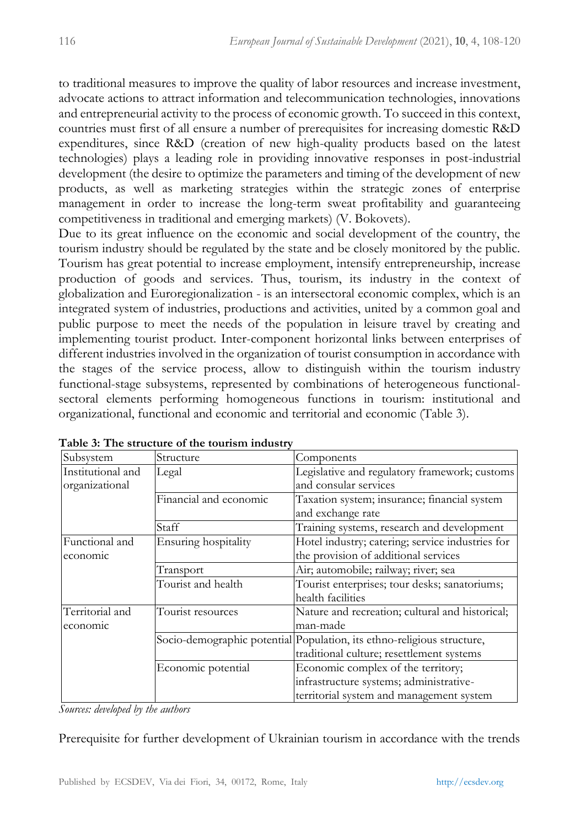to traditional measures to improve the quality of labor resources and increase investment, advocate actions to attract information and telecommunication technologies, innovations and entrepreneurial activity to the process of economic growth. To succeed in this context, countries must first of all ensure a number of prerequisites for increasing domestic R&D expenditures, since R&D (creation of new high-quality products based on the latest technologies) plays a leading role in providing innovative responses in post-industrial development (the desire to optimize the parameters and timing of the development of new products, as well as marketing strategies within the strategic zones of enterprise management in order to increase the long-term sweat profitability and guaranteeing competitiveness in traditional and emerging markets) (V. Bokovets).

Due to its great influence on the economic and social development of the country, the tourism industry should be regulated by the state and be closely monitored by the public. Tourism has great potential to increase employment, intensify entrepreneurship, increase production of goods and services. Thus, tourism, its industry in the context of globalization and Euroregionalization - is an intersectoral economic complex, which is an integrated system of industries, productions and activities, united by a common goal and public purpose to meet the needs of the population in leisure travel by creating and implementing tourist product. Inter-component horizontal links between enterprises of different industries involved in the organization of tourist consumption in accordance with the stages of the service process, allow to distinguish within the tourism industry functional-stage subsystems, represented by combinations of heterogeneous functionalsectoral elements performing homogeneous functions in tourism: institutional and organizational, functional and economic and territorial and economic (Table 3).

| Subsystem         | Structure              | Components                                                             |  |  |  |
|-------------------|------------------------|------------------------------------------------------------------------|--|--|--|
| Institutional and | Legal                  | Legislative and regulatory framework; customs                          |  |  |  |
| organizational    |                        | and consular services                                                  |  |  |  |
|                   | Financial and economic | Taxation system; insurance; financial system                           |  |  |  |
|                   |                        | and exchange rate                                                      |  |  |  |
|                   | Staff                  | Training systems, research and development                             |  |  |  |
| Functional and    | Ensuring hospitality   | Hotel industry; catering; service industries for                       |  |  |  |
| economic          |                        | the provision of additional services                                   |  |  |  |
|                   | Transport              | Air; automobile; railway; river; sea                                   |  |  |  |
|                   | Tourist and health     | Tourist enterprises; tour desks; sanatoriums;                          |  |  |  |
|                   |                        | health facilities                                                      |  |  |  |
| Territorial and   | Tourist resources      | Nature and recreation; cultural and historical;                        |  |  |  |
| economic          |                        | man-made                                                               |  |  |  |
|                   |                        | Socio-demographic potential Population, its ethno-religious structure, |  |  |  |
|                   |                        | traditional culture; resettlement systems                              |  |  |  |
|                   | Economic potential     | Economic complex of the territory;                                     |  |  |  |
|                   |                        | infrastructure systems; administrative-                                |  |  |  |
|                   |                        | territorial system and management system                               |  |  |  |

**Table 3: The structure of the tourism industry**

*Sources: developed by the authors*

Prerequisite for further development of Ukrainian tourism in accordance with the trends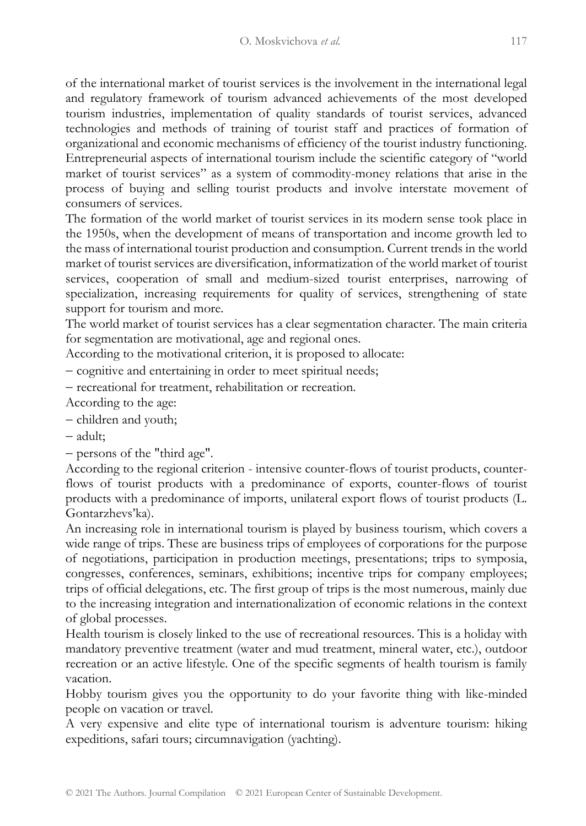of the international market of tourist services is the involvement in the international legal and regulatory framework of tourism advanced achievements of the most developed tourism industries, implementation of quality standards of tourist services, advanced technologies and methods of training of tourist staff and practices of formation of organizational and economic mechanisms of efficiency of the tourist industry functioning. Entrepreneurial aspects of international tourism include the scientific category of "world market of tourist services" as a system of commodity-money relations that arise in the process of buying and selling tourist products and involve interstate movement of consumers of services.

The formation of the world market of tourist services in its modern sense took place in the 1950s, when the development of means of transportation and income growth led to the mass of international tourist production and consumption. Current trends in the world market of tourist services are diversification, informatization of the world market of tourist services, cooperation of small and medium-sized tourist enterprises, narrowing of specialization, increasing requirements for quality of services, strengthening of state support for tourism and more.

The world market of tourist services has a clear segmentation character. The main criteria for segmentation are motivational, age and regional ones.

According to the motivational criterion, it is proposed to allocate:

− cognitive and entertaining in order to meet spiritual needs;

− recreational for treatment, rehabilitation or recreation.

According to the age:

- − children and youth;
- − adult;

− persons of the "third age".

According to the regional criterion - intensive counter-flows of tourist products, counterflows of tourist products with a predominance of exports, counter-flows of tourist products with a predominance of imports, unilateral export flows of tourist products (L. Gontarzhevs'ka).

An increasing role in international tourism is played by business tourism, which covers a wide range of trips. These are business trips of employees of corporations for the purpose of negotiations, participation in production meetings, presentations; trips to symposia, congresses, conferences, seminars, exhibitions; incentive trips for company employees; trips of official delegations, etc. The first group of trips is the most numerous, mainly due to the increasing integration and internationalization of economic relations in the context of global processes.

Health tourism is closely linked to the use of recreational resources. This is a holiday with mandatory preventive treatment (water and mud treatment, mineral water, etc.), outdoor recreation or an active lifestyle. One of the specific segments of health tourism is family vacation.

Hobby tourism gives you the opportunity to do your favorite thing with like-minded people on vacation or travel.

A very expensive and elite type of international tourism is adventure tourism: hiking expeditions, safari tours; circumnavigation (yachting).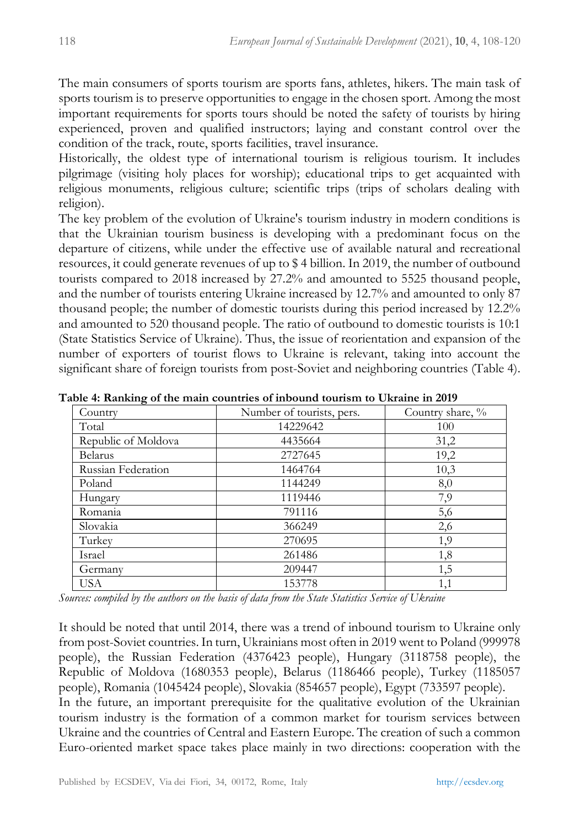The main consumers of sports tourism are sports fans, athletes, hikers. The main task of sports tourism is to preserve opportunities to engage in the chosen sport. Among the most important requirements for sports tours should be noted the safety of tourists by hiring experienced, proven and qualified instructors; laying and constant control over the condition of the track, route, sports facilities, travel insurance.

Historically, the oldest type of international tourism is religious tourism. It includes pilgrimage (visiting holy places for worship); educational trips to get acquainted with religious monuments, religious culture; scientific trips (trips of scholars dealing with religion).

The key problem of the evolution of Ukraine's tourism industry in modern conditions is that the Ukrainian tourism business is developing with a predominant focus on the departure of citizens, while under the effective use of available natural and recreational resources, it could generate revenues of up to \$ 4 billion. In 2019, the number of outbound tourists compared to 2018 increased by 27.2% and amounted to 5525 thousand people, and the number of tourists entering Ukraine increased by 12.7% and amounted to only 87 thousand people; the number of domestic tourists during this period increased by 12.2% and amounted to 520 thousand people. The ratio of outbound to domestic tourists is 10:1 (State Statistics Service of Ukraine). Thus, the issue of reorientation and expansion of the number of exporters of tourist flows to Ukraine is relevant, taking into account the significant share of foreign tourists from post-Soviet and neighboring countries (Table 4).

| Country             | Number of tourists, pers. | Country share, % |
|---------------------|---------------------------|------------------|
| Total               | 14229642                  | 100              |
| Republic of Moldova | 4435664                   | 31,2             |
| <b>Belarus</b>      | 2727645                   | 19,2             |
| Russian Federation  | 1464764                   | 10,3             |
| Poland              | 1144249                   | 8,0              |
| Hungary             | 1119446                   | 7,9              |
| Romania             | 791116                    | 5,6              |
| Slovakia            | 366249                    | 2,6              |
| Turkey              | 270695                    | 1,9              |
| Israel              | 261486                    | 1,8              |
| Germany             | 209447                    | 1,5              |
| USA                 | 153778                    | 1,1              |

**Table 4: Ranking of the main countries of inbound tourism to Ukraine in 2019**

*Sources: compiled by the authors on the basis of data from the State Statistics Service of Ukraine*

It should be noted that until 2014, there was a trend of inbound tourism to Ukraine only from post-Soviet countries. In turn, Ukrainians most often in 2019 went to Poland (999978 people), the Russian Federation (4376423 people), Hungary (3118758 people), the Republic of Moldova (1680353 people), Belarus (1186466 people), Turkey (1185057 people), Romania (1045424 people), Slovakia (854657 people), Egypt (733597 people). In the future, an important prerequisite for the qualitative evolution of the Ukrainian tourism industry is the formation of a common market for tourism services between Ukraine and the countries of Central and Eastern Europe. The creation of such a common Euro-oriented market space takes place mainly in two directions: cooperation with the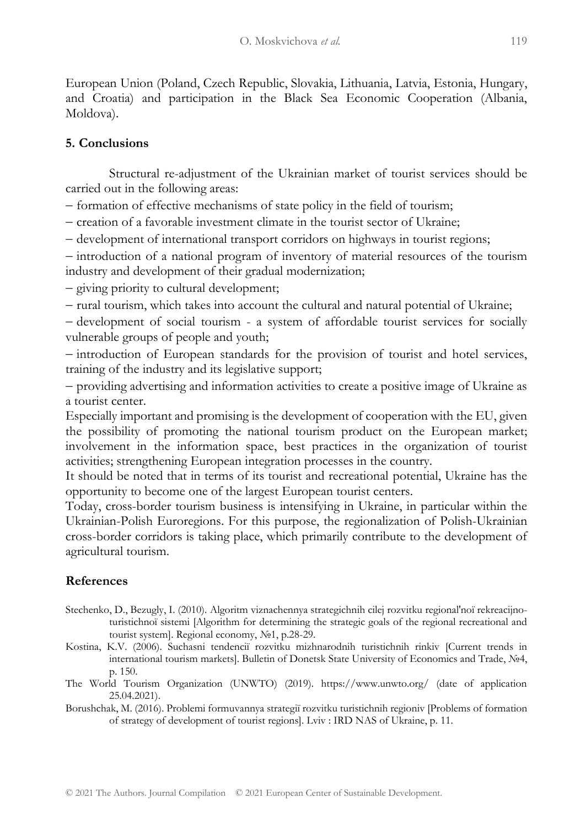European Union (Poland, Czech Republic, Slovakia, Lithuania, Latvia, Estonia, Hungary, and Croatia) and participation in the Black Sea Economic Cooperation (Albania, Moldova).

## **5. Conclusions**

Structural re-adjustment of the Ukrainian market of tourist services should be carried out in the following areas:

− formation of effective mechanisms of state policy in the field of tourism;

− creation of a favorable investment climate in the tourist sector of Ukraine;

− development of international transport corridors on highways in tourist regions;

− introduction of a national program of inventory of material resources of the tourism industry and development of their gradual modernization;

− giving priority to cultural development;

− rural tourism, which takes into account the cultural and natural potential of Ukraine;

− development of social tourism - a system of affordable tourist services for socially vulnerable groups of people and youth;

− introduction of European standards for the provision of tourist and hotel services, training of the industry and its legislative support;

− providing advertising and information activities to create a positive image of Ukraine as a tourist center.

Especially important and promising is the development of cooperation with the EU, given the possibility of promoting the national tourism product on the European market; involvement in the information space, best practices in the organization of tourist activities; strengthening European integration processes in the country.

It should be noted that in terms of its tourist and recreational potential, Ukraine has the opportunity to become one of the largest European tourist centers.

Today, cross-border tourism business is intensifying in Ukraine, in particular within the Ukrainian-Polish Euroregions. For this purpose, the regionalization of Polish-Ukrainian cross-border corridors is taking place, which primarily contribute to the development of agricultural tourism.

## **References**

- Stechenko, D., Bezugly, I. (2010). Algoritm viznachennya strategichnih cilej rozvitku regional'noï rekreacijnoturistichnoї sistemi [Algorithm for determining the strategic goals of the regional recreational and tourist system]. Regional economy, №1, p.28-29.
- Kostina, K.V. (2006). Suchasnі tendencії rozvitku mіzhnarodnih turistichnih rinkіv [Current trends in international tourism markets]. Bulletin of Donetsk State University of Economics and Trade, №4, p. 150.
- The World Tourism Organization (UNWTO) (2019). https://www.unwto.org/ (date of application 25.04.2021).
- Borushchak, M. (2016). Problemi formuvannya strategії rozvitku turistichnih regіonіv [Problems of formation of strategy of development of tourist regions]. Lviv : IRD NAS of Ukraine, p. 11.